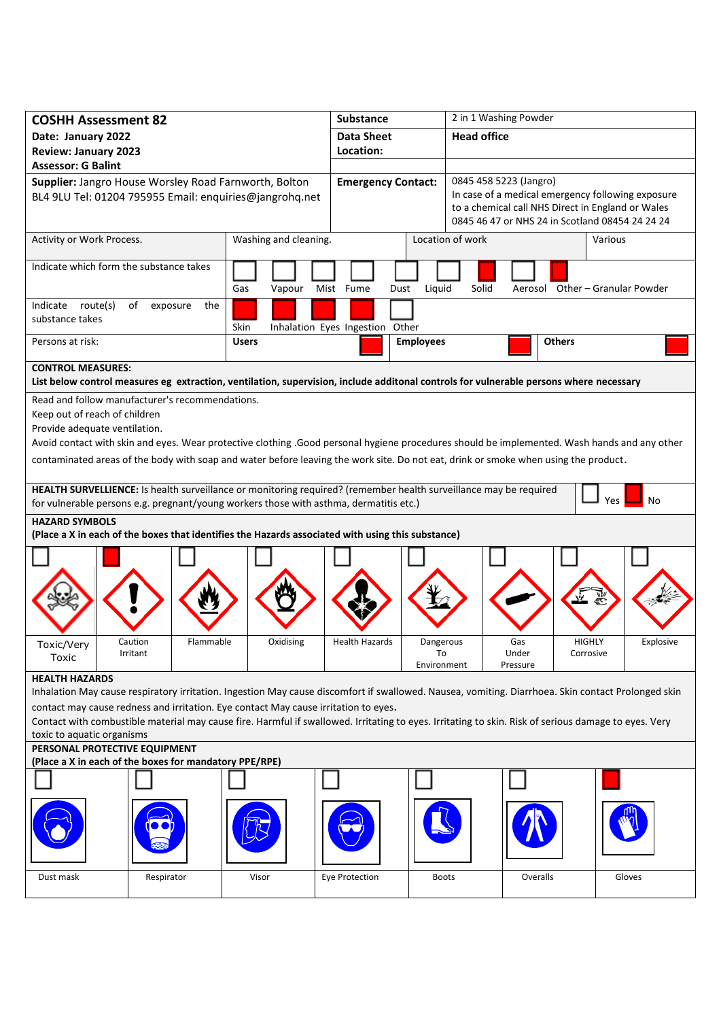| <b>COSHH Assessment 82</b><br>Date: January 2022                                                                                                                                                                                            |                                  |                                                                                                                                                    | <b>Substance</b><br><b>Data Sheet</b> |                                |       | 2 in 1 Washing Powder<br><b>Head office</b>                                                                                                                                         |                            |                                 |  |  |
|---------------------------------------------------------------------------------------------------------------------------------------------------------------------------------------------------------------------------------------------|----------------------------------|----------------------------------------------------------------------------------------------------------------------------------------------------|---------------------------------------|--------------------------------|-------|-------------------------------------------------------------------------------------------------------------------------------------------------------------------------------------|----------------------------|---------------------------------|--|--|
| <b>Review: January 2023</b>                                                                                                                                                                                                                 |                                  |                                                                                                                                                    | Location:                             |                                |       |                                                                                                                                                                                     |                            |                                 |  |  |
| <b>Assessor: G Balint</b><br>Supplier: Jangro House Worsley Road Farnworth, Bolton<br>BL4 9LU Tel: 01204 795955 Email: enquiries@jangrohq.net                                                                                               |                                  |                                                                                                                                                    |                                       | <b>Emergency Contact:</b>      |       | 0845 458 5223 (Jangro)<br>In case of a medical emergency following exposure<br>to a chemical call NHS Direct in England or Wales<br>0845 46 47 or NHS 24 in Scotland 08454 24 24 24 |                            |                                 |  |  |
| Activity or Work Process.                                                                                                                                                                                                                   |                                  | Washing and cleaning.                                                                                                                              |                                       | Location of work               |       |                                                                                                                                                                                     |                            | Various                         |  |  |
| Indicate which form the substance takes                                                                                                                                                                                                     |                                  | Gas<br>Vapour                                                                                                                                      | Mist Fume<br>Dust                     | Liquid                         | Solid |                                                                                                                                                                                     |                            | Aerosol Other - Granular Powder |  |  |
| Indicate route(s)<br>substance takes                                                                                                                                                                                                        | of<br>exposure<br>the            | Skin                                                                                                                                               | Inhalation Eyes Ingestion Other       |                                |       |                                                                                                                                                                                     |                            |                                 |  |  |
| Persons at risk:                                                                                                                                                                                                                            |                                  | <b>Users</b>                                                                                                                                       |                                       | <b>Employees</b>               |       |                                                                                                                                                                                     | <b>Others</b>              |                                 |  |  |
| <b>CONTROL MEASURES:</b><br>List below control measures eg extraction, ventilation, supervision, include additonal controls for vulnerable persons where necessary                                                                          |                                  |                                                                                                                                                    |                                       |                                |       |                                                                                                                                                                                     |                            |                                 |  |  |
| Read and follow manufacturer's recommendations.                                                                                                                                                                                             |                                  |                                                                                                                                                    |                                       |                                |       |                                                                                                                                                                                     |                            |                                 |  |  |
| Keep out of reach of children<br>Provide adequate ventilation.                                                                                                                                                                              |                                  |                                                                                                                                                    |                                       |                                |       |                                                                                                                                                                                     |                            |                                 |  |  |
| Avoid contact with skin and eyes. Wear protective clothing .Good personal hygiene procedures should be implemented. Wash hands and any other                                                                                                |                                  |                                                                                                                                                    |                                       |                                |       |                                                                                                                                                                                     |                            |                                 |  |  |
| contaminated areas of the body with soap and water before leaving the work site. Do not eat, drink or smoke when using the product.                                                                                                         |                                  |                                                                                                                                                    |                                       |                                |       |                                                                                                                                                                                     |                            |                                 |  |  |
| HEALTH SURVELLIENCE: Is health surveillance or monitoring required? (remember health surveillance may be required<br>Yes<br>No<br>for vulnerable persons e.g. pregnant/young workers those with asthma, dermatitis etc.)                    |                                  |                                                                                                                                                    |                                       |                                |       |                                                                                                                                                                                     |                            |                                 |  |  |
| <b>HAZARD SYMBOLS</b><br>(Place a X in each of the boxes that identifies the Hazards associated with using this substance)                                                                                                                  |                                  |                                                                                                                                                    |                                       |                                |       |                                                                                                                                                                                     |                            |                                 |  |  |
|                                                                                                                                                                                                                                             |                                  |                                                                                                                                                    |                                       |                                |       |                                                                                                                                                                                     |                            |                                 |  |  |
|                                                                                                                                                                                                                                             |                                  |                                                                                                                                                    |                                       |                                |       |                                                                                                                                                                                     |                            |                                 |  |  |
|                                                                                                                                                                                                                                             |                                  |                                                                                                                                                    |                                       |                                |       |                                                                                                                                                                                     |                            |                                 |  |  |
|                                                                                                                                                                                                                                             |                                  |                                                                                                                                                    |                                       |                                |       |                                                                                                                                                                                     |                            |                                 |  |  |
| Toxic/Very<br>Toxic                                                                                                                                                                                                                         | Flammable<br>Caution<br>Irritant | Oxidising                                                                                                                                          | <b>Health Hazards</b>                 | Dangerous<br>To<br>Environment |       | Gas<br>Under<br>Pressure                                                                                                                                                            | <b>HIGHLY</b><br>Corrosive | Explosive                       |  |  |
| <b>HEALTH HAZARDS</b>                                                                                                                                                                                                                       |                                  |                                                                                                                                                    |                                       |                                |       |                                                                                                                                                                                     |                            |                                 |  |  |
|                                                                                                                                                                                                                                             |                                  | Inhalation May cause respiratory irritation. Ingestion May cause discomfort if swallowed. Nausea, vomiting. Diarrhoea. Skin contact Prolonged skin |                                       |                                |       |                                                                                                                                                                                     |                            |                                 |  |  |
| contact may cause redness and irritation. Eye contact May cause irritation to eyes.<br>Contact with combustible material may cause fire. Harmful if swallowed. Irritating to eyes. Irritating to skin. Risk of serious damage to eyes. Very |                                  |                                                                                                                                                    |                                       |                                |       |                                                                                                                                                                                     |                            |                                 |  |  |
| toxic to aquatic organisms                                                                                                                                                                                                                  |                                  |                                                                                                                                                    |                                       |                                |       |                                                                                                                                                                                     |                            |                                 |  |  |
| PERSONAL PROTECTIVE EQUIPMENT<br>(Place a X in each of the boxes for mandatory PPE/RPE)                                                                                                                                                     |                                  |                                                                                                                                                    |                                       |                                |       |                                                                                                                                                                                     |                            |                                 |  |  |
|                                                                                                                                                                                                                                             |                                  |                                                                                                                                                    |                                       |                                |       |                                                                                                                                                                                     |                            |                                 |  |  |
|                                                                                                                                                                                                                                             |                                  |                                                                                                                                                    |                                       |                                |       |                                                                                                                                                                                     |                            |                                 |  |  |
| Dust mask                                                                                                                                                                                                                                   | Respirator                       | Visor                                                                                                                                              | Eye Protection                        | <b>Boots</b>                   |       | Overalls                                                                                                                                                                            |                            | Gloves                          |  |  |